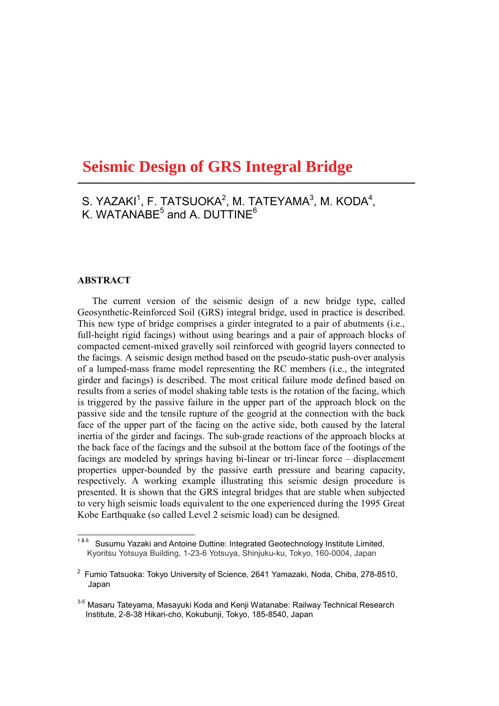# **<u>Seismic Design of GRS Integral Bridge</u>**

 $S.$  YAZAKI<sup>1</sup>, F. TATSUOKA<sup>2</sup>, M. TATEYAMA<sup>3</sup>, M. KODA<sup>4</sup>, K. WATANABE $^5$  and A. DUTTINE $^6$ 

## $ABSTRACT$

The current version of the seismic design of a new bridge type, called Geosynthetic-Reinforced Soil (GRS) integral bridge, used in practice is described. This new type of bridge comprises a girder integrated to a pair of abutments (i.e., full-height rigid facings) without using bearings and a pair of approach blocks of compacted cement-mixed gravelly soil reinforced with geogrid layers connected to the facings. A seismic design method based on the pseudo-static push-over analysis of a lumped-mass frame model representing the RC members (i.e., the integrated girder and facings) is described. The most critical failure mode defined based on results from a series of model shaking table tests is the rotation of the facing, which is triggered by the passive failure in the upper part of the approach block on the passive side and the tensile rupture of the geogrid at the connection with the back face of the upper part of the facing on the active side, both caused by the lateral inertia of the girder and facings. The sub-grade reactions of the approach blocks at the back face of the facings and the subsoil at the bottom face of the footings of the facings are modeled by springs having bi-linear or tri-linear force – displacement properties upper-bounded by the passive earth pressure and bearing capacity, respectively. A working example illustrating this seismic design procedure is presented. It is shown that the GRS integral bridges that are stable when subjected to very high seismic loads equivalent to the one experienced during the 1995 Great Kobe Earthquake (so called Level 2 seismic load) can be designed.

 $186$  Susumu Yazaki and Antoine Duttine: Integrated Geotechnology Institute Limited, Kyoritsu Yotsuya Building, 1-23-6 Yotsuya, Shinjuku-ku, Tokyo, 160-0004, Japan

<sup>&</sup>lt;sup>2</sup> Fumio Tatsuoka: Tokyo University of Science, 2641 Yamazaki, Noda, Chiba, 278-8510, Japan

 $^{3\text{-}5}$  Masaru Tateyama, Masayuki Koda and Kenji Watanabe: Railway Technical Research Institute, 2-8-38 Hikari-cho, Kokubunji, Tokyo, 185-8540, Japan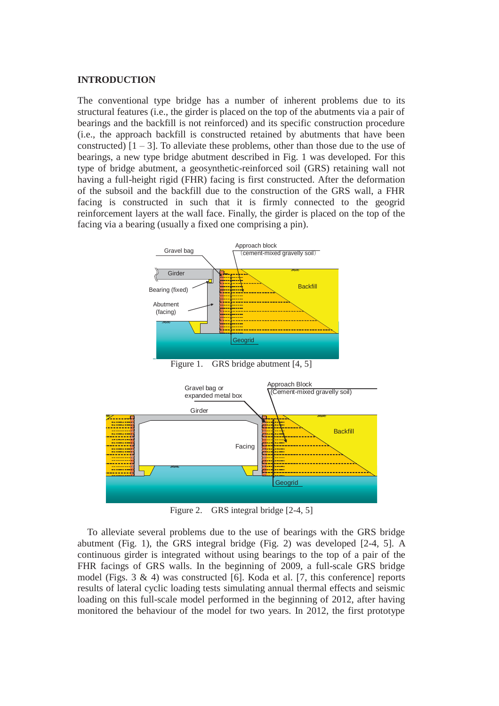## **INTRODUCTION**

The conventional type bridge has a number of inherent problems due to its structural features (i.e., the girder is placed on the top of the abutments via a pair of bearings and the backfill is not reinforced) and its specific construction procedure (i.e., the approach backfill is constructed retained by abutments that have been constructed)  $[1 - 3]$ . To alleviate these problems, other than those due to the use of bearings, a new type bridge abutment described in Fig. 1 was developed. For this type of bridge abutment, a geosynthetic-reinforced soil (GRS) retaining wall not having a full-height rigid (FHR) facing is first constructed. After the deformation of the subsoil and the backfill due to the construction of the GRS wall, a FHR facing is constructed in such that it is firmly connected to the geogrid reinforcement layers at the wall face. Finally, the girder is placed on the top of the facing via a bearing (usually a fixed one comprising a pin).



Figure 1. GRS bridge abutment [4, 5]



Figure 2. GRS integral bridge [2-4, 5]

To alleviate several problems due to the use of bearings with the GRS bridge abutment (Fig. 1), the GRS integral bridge (Fig. 2) was developed [2-4, 5]. A continuous girder is integrated without using bearings to the top of a pair of the FHR facings of GRS walls. In the beginning of 2009, a full-scale GRS bridge model (Figs.  $3 \& 4$ ) was constructed [6]. Koda et al. [7, this conference] reports results of lateral cyclic loading tests simulating annual thermal effects and seismic loading on this full-scale model performed in the beginning of 2012, after having monitored the behaviour of the model for two years. In 2012, the first prototype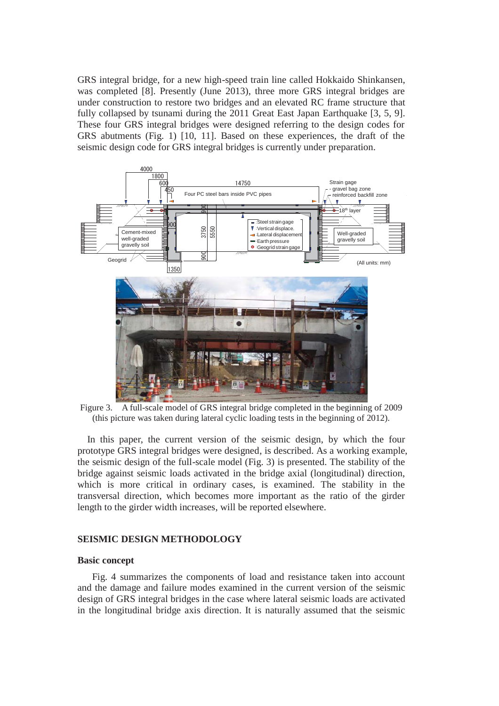GRS integral bridge, for a new high-speed train line called Hokkaido Shinkansen, was completed [8]. Presently (June 2013), three more GRS integral bridges are under construction to restore two bridges and an elevated RC frame structure that fully collapsed by tsunami during the 2011 Great East Japan Earthquake [3, 5, 9]. These four GRS integral bridges were designed referring to the design codes for GRS abutments (Fig. 1) [10, 11]. Based on these experiences, the draft of the seismic design code for GRS integral bridges is currently under preparation.



Figure 3. A full-scale model of GRS integral bridge completed in the beginning of 2009 (this picture was taken during lateral cyclic loading tests in the beginning of 2012).

 In this paper, the current version of the seismic design, by which the four prototype GRS integral bridges were designed, is described. As a working example, the seismic design of the full-scale model (Fig. 3) is presented. The stability of the bridge against seismic loads activated in the bridge axial (longitudinal) direction, which is more critical in ordinary cases, is examined. The stability in the transversal direction, which becomes more important as the ratio of the girder length to the girder width increases, will be reported elsewhere.

## **SEISMIC DESIGN METHODOLOGY**

#### **Basic concept**

Fig. 4 summarizes the components of load and resistance taken into account and the damage and failure modes examined in the current version of the seismic design of GRS integral bridges in the case where lateral seismic loads are activated in the longitudinal bridge axis direction. It is naturally assumed that the seismic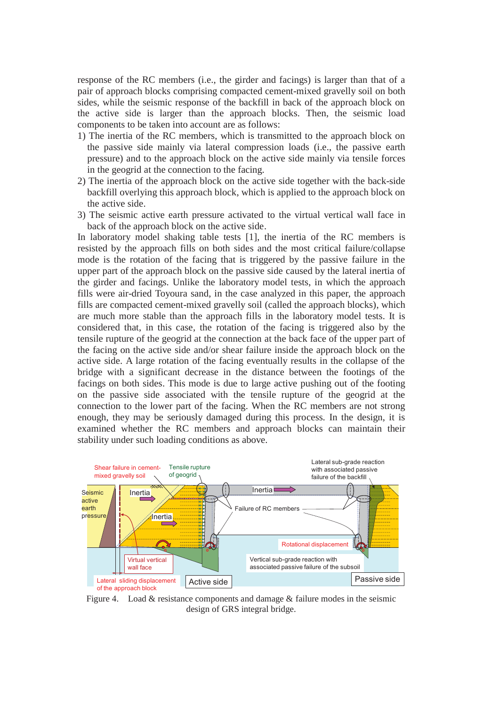response of the RC members (i.e., the girder and facings) is larger than that of a pair of approach blocks comprising compacted cement-mixed gravelly soil on both sides, while the seismic response of the backfill in back of the approach block on the active side is larger than the approach blocks. Then, the seismic load components to be taken into account are as follows:

- 1) The inertia of the RC members, which is transmitted to the approach block on the passive side mainly via lateral compression loads (i.e., the passive earth pressure) and to the approach block on the active side mainly via tensile forces in the geogrid at the connection to the facing.
- 2) The inertia of the approach block on the active side together with the back-side backfill overlying this approach block, which is applied to the approach block on the active side.
- 3) The seismic active earth pressure activated to the virtual vertical wall face in back of the approach block on the active side.

In laboratory model shaking table tests [1], the inertia of the RC members is resisted by the approach fills on both sides and the most critical failure/collapse mode is the rotation of the facing that is triggered by the passive failure in the upper part of the approach block on the passive side caused by the lateral inertia of the girder and facings. Unlike the laboratory model tests, in which the approach fills were air-dried Toyoura sand, in the case analyzed in this paper, the approach fills are compacted cement-mixed gravelly soil (called the approach blocks), which are much more stable than the approach fills in the laboratory model tests. It is considered that, in this case, the rotation of the facing is triggered also by the tensile rupture of the geogrid at the connection at the back face of the upper part of the facing on the active side and/or shear failure inside the approach block on the active side. A large rotation of the facing eventually results in the collapse of the bridge with a significant decrease in the distance between the footings of the facings on both sides. This mode is due to large active pushing out of the footing on the passive side associated with the tensile rupture of the geogrid at the connection to the lower part of the facing. When the RC members are not strong enough, they may be seriously damaged during this process. In the design, it is examined whether the RC members and approach blocks can maintain their stability under such loading conditions as above.



Figure 4. Load  $&$  resistance components and damage  $&$  failure modes in the seismic design of GRS integral bridge.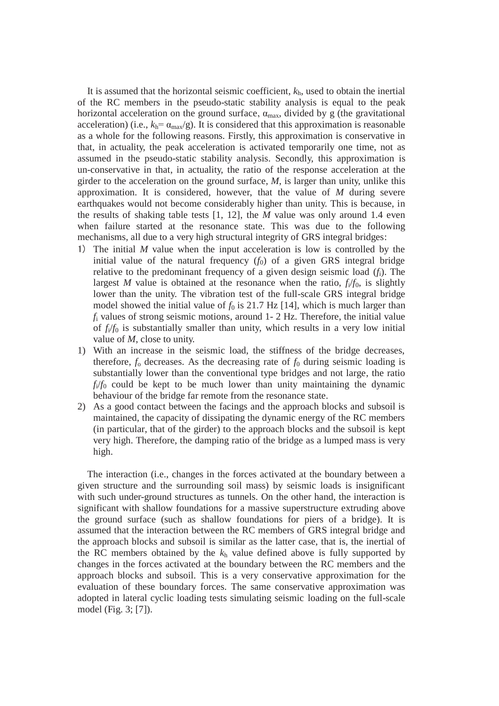It is assumed that the horizontal seismic coefficient, *k*h, used to obtain the inertial of the RC members in the pseudo-static stability analysis is equal to the peak horizontal acceleration on the ground surface,  $\alpha_{\text{max}}$ , divided by g (the gravitational acceleration) (i.e.,  $k_h = \alpha_{\text{max}}/g$ ). It is considered that this approximation is reasonable as a whole for the following reasons. Firstly, this approximation is conservative in that, in actuality, the peak acceleration is activated temporarily one time, not as assumed in the pseudo-static stability analysis. Secondly, this approximation is un-conservative in that, in actuality, the ratio of the response acceleration at the girder to the acceleration on the ground surface, *M*, is larger than unity, unlike this approximation. It is considered, however, that the value of *M* during severe earthquakes would not become considerably higher than unity. This is because, in the results of shaking table tests [1, 12], the *M* value was only around 1.4 even when failure started at the resonance state. This was due to the following mechanisms, all due to a very high structural integrity of GRS integral bridges:

- 㻝㻕 The initial *M* value when the input acceleration is low is controlled by the initial value of the natural frequency  $(f_0)$  of a given GRS integral bridge relative to the predominant frequency of a given design seismic load (*f*i). The largest *M* value is obtained at the resonance when the ratio,  $f_i/f_0$ , is slightly lower than the unity. The vibration test of the full-scale GRS integral bridge model showed the initial value of  $f_0$  is 21.7 Hz [14], which is much larger than *f*i values of strong seismic motions, around 1- 2 Hz. Therefore, the initial value of  $f_i/f_0$  is substantially smaller than unity, which results in a very low initial value of *M*, close to unity.
- 1) With an increase in the seismic load, the stiffness of the bridge decreases, therefore,  $f_0$  decreases. As the decreasing rate of  $f_0$  during seismic loading is substantially lower than the conventional type bridges and not large, the ratio  $f_i/f_0$  could be kept to be much lower than unity maintaining the dynamic behaviour of the bridge far remote from the resonance state.
- 2) As a good contact between the facings and the approach blocks and subsoil is maintained, the capacity of dissipating the dynamic energy of the RC members (in particular, that of the girder) to the approach blocks and the subsoil is kept very high. Therefore, the damping ratio of the bridge as a lumped mass is very high.

The interaction (i.e., changes in the forces activated at the boundary between a given structure and the surrounding soil mass) by seismic loads is insignificant with such under-ground structures as tunnels. On the other hand, the interaction is significant with shallow foundations for a massive superstructure extruding above the ground surface (such as shallow foundations for piers of a bridge). It is assumed that the interaction between the RC members of GRS integral bridge and the approach blocks and subsoil is similar as the latter case, that is, the inertial of the RC members obtained by the  $k<sub>h</sub>$  value defined above is fully supported by changes in the forces activated at the boundary between the RC members and the approach blocks and subsoil. This is a very conservative approximation for the evaluation of these boundary forces. The same conservative approximation was adopted in lateral cyclic loading tests simulating seismic loading on the full-scale model (Fig. 3; [7]).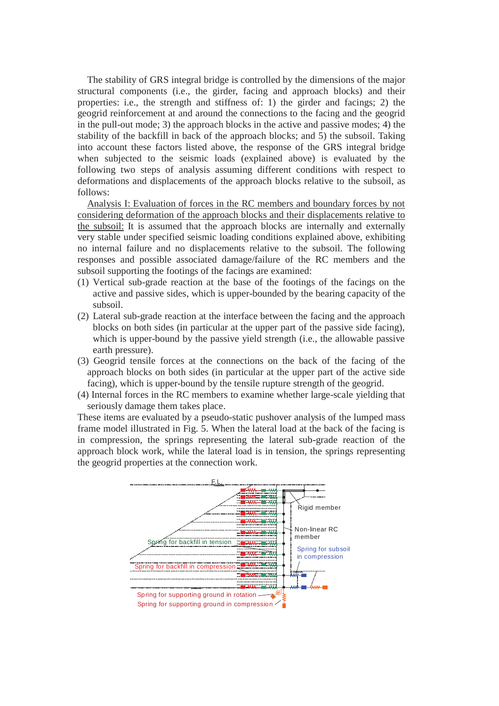The stability of GRS integral bridge is controlled by the dimensions of the major structural components (i.e., the girder, facing and approach blocks) and their properties: i.e., the strength and stiffness of: 1) the girder and facings; 2) the geogrid reinforcement at and around the connections to the facing and the geogrid in the pull-out mode; 3) the approach blocks in the active and passive modes; 4) the stability of the backfill in back of the approach blocks; and 5) the subsoil. Taking into account these factors listed above, the response of the GRS integral bridge when subjected to the seismic loads (explained above) is evaluated by the following two steps of analysis assuming different conditions with respect to deformations and displacements of the approach blocks relative to the subsoil, as follows:

Analysis I: Evaluation of forces in the RC members and boundary forces by not considering deformation of the approach blocks and their displacements relative to the subsoil: It is assumed that the approach blocks are internally and externally very stable under specified seismic loading conditions explained above, exhibiting no internal failure and no displacements relative to the subsoil. The following responses and possible associated damage/failure of the RC members and the subsoil supporting the footings of the facings are examined:

- (1) Vertical sub-grade reaction at the base of the footings of the facings on the active and passive sides, which is upper-bounded by the bearing capacity of the subsoil.
- (2) Lateral sub-grade reaction at the interface between the facing and the approach blocks on both sides (in particular at the upper part of the passive side facing), which is upper-bound by the passive yield strength (i.e., the allowable passive earth pressure).
- (3) Geogrid tensile forces at the connections on the back of the facing of the approach blocks on both sides (in particular at the upper part of the active side facing), which is upper-bound by the tensile rupture strength of the geogrid.
- (4) Internal forces in the RC members to examine whether large-scale yielding that seriously damage them takes place.

These items are evaluated by a pseudo-static pushover analysis of the lumped mass frame model illustrated in Fig. 5. When the lateral load at the back of the facing is in compression, the springs representing the lateral sub-grade reaction of the approach block work, while the lateral load is in tension, the springs representing the geogrid properties at the connection work.

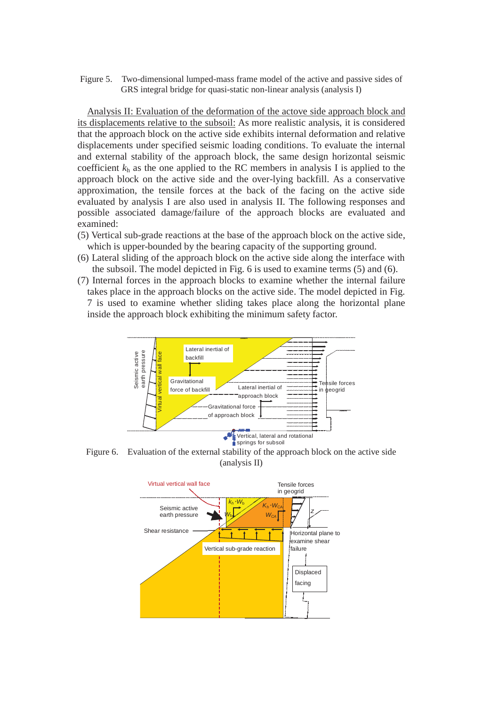Figure 5. Two-dimensional lumped-mass frame model of the active and passive sides of GRS integral bridge for quasi-static non-linear analysis (analysis  $\overline{D}$ )

Analysis II: Evaluation of the deformation of the actove side approach block and its displacements relative to the subsoil: As more realistic analysis, it is considered that the approach block on the active side exhibits internal deformation and relative displacements under specified seismic loading conditions. To evaluate the internal and external stability of the approach block, the same design horizontal seismic coefficient  $k<sub>h</sub>$  as the one applied to the RC members in analysis I is applied to the approach block on the active side and the over-lying backfill. As a conservative approximation, the tensile forces at the back of the facing on the active side evaluated by analysis I are also used in analysis II. The following responses and possible associated damage/failure of the approach blocks are evaluated and examined:

- (5) Vertical sub-grade reactions at the base of the approach block on the active side, which is upper-bounded by the bearing capacity of the supporting ground.
- (6) Lateral sliding of the approach block on the active side along the interface with the subsoil. The model depicted in Fig. 6 is used to examine terms (5) and (6).
- (7) Internal forces in the approach blocks to examine whether the internal failure takes place in the approach blocks on the active side. The model depicted in Fig. 7 is used to examine whether sliding takes place along the horizontal plane inside the approach block exhibiting the minimum safety factor.



Figure 6. Evaluation of the external stability of the approach block on the active side (analysis II)

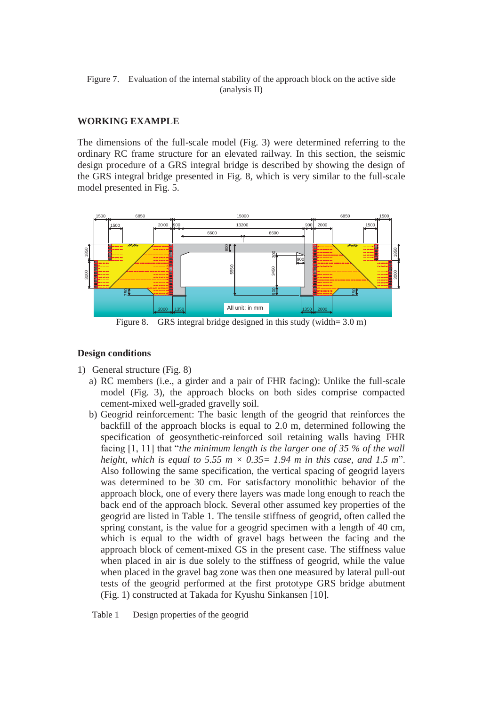Figure 7. Evaluation of the internal stability of the approach block on the active side (analysis II)

# **WORKING EXAMPLE**

The dimensions of the full-scale model (Fig. 3) were determined referring to the ordinary RC frame structure for an elevated railway. In this section, the seismic design procedure of a GRS integral bridge is described by showing the design of the GRS integral bridge presented in Fig. 8, which is very similar to the full-scale model presented in Fig. 5.



Figure 8. GRS integral bridge designed in this study (width= 3.0 m)

## **Design conditions**

- 1) General structure (Fig. 8)
	- a) RC members (i.e., a girder and a pair of FHR facing): Unlike the full-scale model (Fig. 3), the approach blocks on both sides comprise compacted cement-mixed well-graded gravelly soil.
	- b) Geogrid reinforcement: The basic length of the geogrid that reinforces the backfill of the approach blocks is equal to 2.0 m, determined following the specification of geosynthetic-reinforced soil retaining walls having FHR facing [1, 11] that "*the minimum length is the larger one of 35 % of the wall height, which is equal to 5.55 m*  $\times$  *0.35 = 1.94 m in this case, and 1.5 m*<sup>"</sup>. Also following the same specification, the vertical spacing of geogrid layers was determined to be 30 cm. For satisfactory monolithic behavior of the approach block, one of every there layers was made long enough to reach the back end of the approach block. Several other assumed key properties of the geogrid are listed in Table 1. The tensile stiffness of geogrid, often called the spring constant, is the value for a geogrid specimen with a length of 40 cm, which is equal to the width of gravel bags between the facing and the approach block of cement-mixed GS in the present case. The stiffness value when placed in air is due solely to the stiffness of geogrid, while the value when placed in the gravel bag zone was then one measured by lateral pull-out tests of the geogrid performed at the first prototype GRS bridge abutment (Fig. 1) constructed at Takada for Kyushu Sinkansen [10].

Table 1 Design properties of the geogrid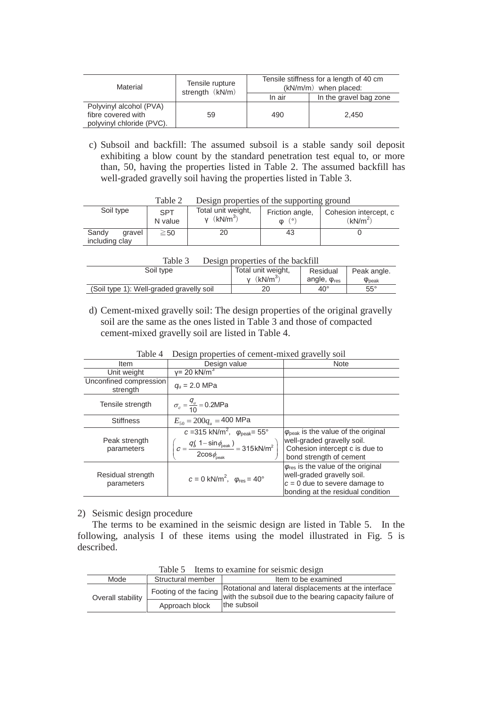| Material                  | Tensile rupture<br>strength (kN/m) |        | Tensile stiffness for a length of 40 cm<br>$(kN/m/m)$ when placed: |  |
|---------------------------|------------------------------------|--------|--------------------------------------------------------------------|--|
|                           |                                    | In air | In the gravel bag zone                                             |  |
| Polyvinyl alcohol (PVA)   |                                    |        |                                                                    |  |
| fibre covered with        | 59                                 | 490    | 2.450                                                              |  |
| polyvinyl chloride (PVC). |                                    |        |                                                                    |  |

c) Subsoil and backfill: The assumed subsoil is a stable sandy soil deposit exhibiting a blow count by the standard penetration test equal to, or more than, 50, having the properties listed in Table 2. The assumed backfill has well-graded gravelly soil having the properties listed in Table 3.

|                                   | <b>T</b> and $\angle$ | Design properties of the supporting ground     |                                    |                                               |
|-----------------------------------|-----------------------|------------------------------------------------|------------------------------------|-----------------------------------------------|
| Soil type                         | <b>SPT</b><br>N value | Total unit weight,<br>$v$ (kN/m <sup>3</sup> ) | Friction angle,<br>(0)<br>$\omega$ | Cohesion intercept, c<br>(kN/m <sup>2</sup> ) |
| Sandv<br>gravel<br>including clay | $\geq$ 50             |                                                | 43                                 |                                               |

Table 2 Design properties of the supporting ground

| Table 3 |  | Design properties of the backfill |  |  |
|---------|--|-----------------------------------|--|--|
|---------|--|-----------------------------------|--|--|

| $\sim$ $\sim$ $\sim$ $\sim$<br>$\sim$ which properties of the other in $\sim$ |                    |                        |                      |
|-------------------------------------------------------------------------------|--------------------|------------------------|----------------------|
| Soil type                                                                     | Total unit weight, | Residual               | Peak angle.          |
|                                                                               | (kN/m <sup>3</sup> | angle, $\varphi_{res}$ | $\phi_{\text{peak}}$ |
| (Soil type 1): Well-graded gravelly soil                                      |                    | $40^{\circ}$           | $55^{\circ}$         |
|                                                                               |                    |                        |                      |

d) Cement-mixed gravelly soil: The design properties of the original gravelly soil are the same as the ones listed in Table 3 and those of compacted cement-mixed gravelly soil are listed in Table 4.

| $1401C +$                          | Design properties or centent-mixed graverly<br>5011                                                                                                                              |                                                                                                                                                           |  |  |
|------------------------------------|----------------------------------------------------------------------------------------------------------------------------------------------------------------------------------|-----------------------------------------------------------------------------------------------------------------------------------------------------------|--|--|
| Item                               | Design value                                                                                                                                                                     | <b>Note</b>                                                                                                                                               |  |  |
| Unit weight                        | $v = 20$ kN/m <sup>3</sup>                                                                                                                                                       |                                                                                                                                                           |  |  |
| Unconfined compression<br>strength | $q_{\rm u}$ = 2.0 MPa                                                                                                                                                            |                                                                                                                                                           |  |  |
| Tensile strength                   | $\sigma_c = \frac{q_u}{10} = 0.2$ MPa                                                                                                                                            |                                                                                                                                                           |  |  |
| <b>Stiffness</b>                   | $E_{50} = 200 q_u = 400$ MPa                                                                                                                                                     |                                                                                                                                                           |  |  |
| Peak strength<br>parameters        | $c = 315$ kN/m <sup>2</sup> , $\varphi_{\text{peak}} = 55^{\circ}$<br>$\left(c = \frac{q(\sqrt{1-\sin\phi_{\rm peak}})}{2\cos\phi_{\rm peak}}\right) = 315 \text{kN/m}^2\right)$ | $\varphi_{\text{peak}}$ is the value of the original<br>well-graded gravelly soil.<br>Cohesion intercept c is due to<br>bond strength of cement           |  |  |
| Residual strength<br>parameters    | $c = 0$ kN/m <sup>2</sup> , $\varphi_{\text{res}} = 40^{\circ}$                                                                                                                  | $\varphi_{\text{res}}$ is the value of the original<br>well-graded gravelly soil.<br>$c = 0$ due to severe damage to<br>bonding at the residual condition |  |  |

Table 4 Design properties of cement-mixed gravelly soil

## 2) Seismic design procedure

The terms to be examined in the seismic design are listed in Table 5. In the following, analysis I of these items using the model illustrated in Fig. 5 is described.

| 100 IV J<br>home to examine for bending aborging |                       |                                                                                                                  |  |  |
|--------------------------------------------------|-----------------------|------------------------------------------------------------------------------------------------------------------|--|--|
| Mode                                             | Structural member     | Item to be examined                                                                                              |  |  |
| Overall stability                                | Footing of the facing | Rotational and lateral displacements at the interface<br>with the subsoil due to the bearing capacity failure of |  |  |
|                                                  | Approach block        | the subsoil                                                                                                      |  |  |

Table 5 Items to examine for seismic design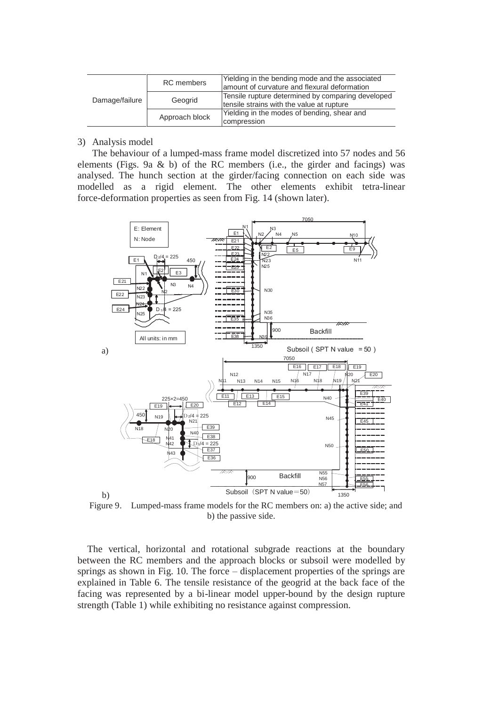| Damage/failure | RC members     | Yielding in the bending mode and the associated<br>lamount of curvature and flexural deformation |  |
|----------------|----------------|--------------------------------------------------------------------------------------------------|--|
|                | Geogrid        | Tensile rupture determined by comparing developed<br>tensile strains with the value at rupture   |  |
|                | Approach block | Yielding in the modes of bending, shear and<br>compression                                       |  |

## 3) Analysis model

The behaviour of a lumped-mass frame model discretized into 57 nodes and 56 elements (Figs. 9a  $\&$  b) of the RC members (i.e., the girder and facings) was analysed. The hunch section at the girder/facing connection on each side was modelled as a rigid element. The other elements exhibit tetra-linear force-deformation properties as seen from Fig. 14 (shown later).



Figure 9. Lumped-mass frame models for the RC members on: a) the active side; and b) the passive side.

The vertical, horizontal and rotational subgrade reactions at the boundary between the RC members and the approach blocks or subsoil were modelled by springs as shown in Fig. 10. The force – displacement properties of the springs are explained in Table 6. The tensile resistance of the geogrid at the back face of the facing was represented by a bi-linear model upper-bound by the design rupture strength (Table 1) while exhibiting no resistance against compression.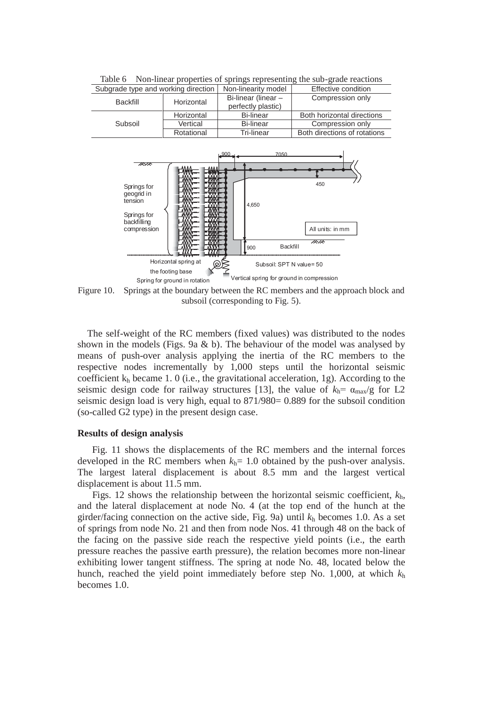| Subgrade type and working direction |            | Non-linearity model | Effective condition          |
|-------------------------------------|------------|---------------------|------------------------------|
| Backfill                            | Horizontal | Bi-linear (linear - | Compression only             |
|                                     |            | perfectly plastic)  |                              |
|                                     | Horizontal | Bi-linear           | Both horizontal directions   |
| Subsoil                             | Vertical   | <b>Bi-linear</b>    | Compression only             |
|                                     | Rotational | Tri-linear          | Both directions of rotations |

Table 6 Non-linear properties of springs representing the sub-grade reactions



Figure 10. Springs at the boundary between the RC members and the approach block and subsoil (corresponding to Fig. 5).

The self-weight of the RC members (fixed values) was distributed to the nodes shown in the models (Figs. 9a & b). The behaviour of the model was analysed by means of push-over analysis applying the inertia of the RC members to the respective nodes incrementally by 1,000 steps until the horizontal seismic coefficient  $k_h$  became 1. 0 (i.e., the gravitational acceleration, 1g). According to the seismic design code for railway structures [13], the value of  $k_h = \alpha_{\text{max}}/g$  for L2 seismic design load is very high, equal to 871/980= 0.889 for the subsoil condition (so-called G2 type) in the present design case.

#### **Results of design analysis**

Fig. 11 shows the displacements of the RC members and the internal forces developed in the RC members when  $k_h$ = 1.0 obtained by the push-over analysis. The largest lateral displacement is about 8.5 mm and the largest vertical displacement is about 11.5 mm.

 Figs. 12 shows the relationship between the horizontal seismic coefficient, *k*h, and the lateral displacement at node No. 4 (at the top end of the hunch at the girder/facing connection on the active side, Fig. 9a) until *k*h becomes 1.0. As a set of springs from node No. 21 and then from node Nos. 41 through 48 on the back of the facing on the passive side reach the respective yield points (i.e., the earth pressure reaches the passive earth pressure), the relation becomes more non-linear exhibiting lower tangent stiffness. The spring at node No. 48, located below the hunch, reached the yield point immediately before step No. 1,000, at which *k*<sup>h</sup> becomes 1.0.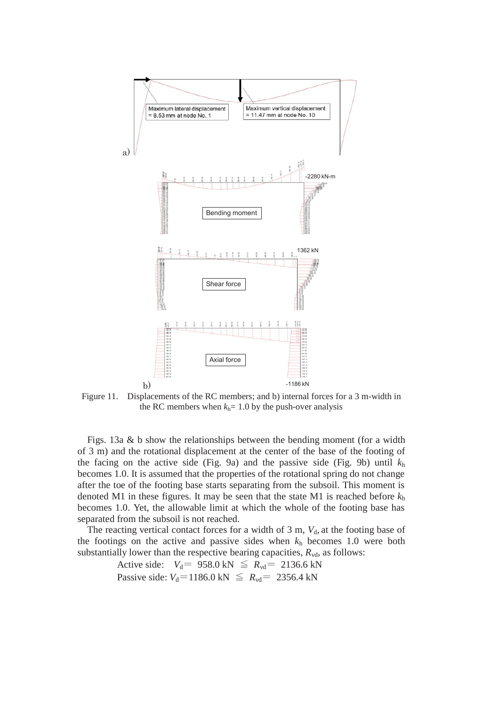

Figure 11. Displacements of the RC members; and b) internal forces for a 3 m-width in the RC members when  $k_h$ = 1.0 by the push-over analysis

Figs. 13a & b show the relationships between the bending moment (for a width of 3 m) and the rotational displacement at the center of the base of the footing of the facing on the active side (Fig. 9a) and the passive side (Fig. 9b) until  $k<sub>h</sub>$ becomes 1.0. It is assumed that the properties of the rotational spring do not change after the toe of the footing base starts separating from the subsoil. This moment is denoted M1 in these figures. It may be seen that the state M1 is reached before *k*<sup>h</sup> becomes 1.0. Yet, the allowable limit at which the whole of the footing base has separated from the subsoil is not reached.

The reacting vertical contact forces for a width of  $3 \text{ m}$ ,  $V_{d}$ , at the footing base of the footings on the active and passive sides when *k*h becomes 1.0 were both substantially lower than the respective bearing capacities,  $R_{\text{vd}}$ , as follows:

> Active side:  $V_d$  = 958.0 kN  $\le R_{vd}$  = 2136.6 kN Passive side:  $V_d$ =1186.0 kN  $\le R_{vd}$  = 2356.4 kN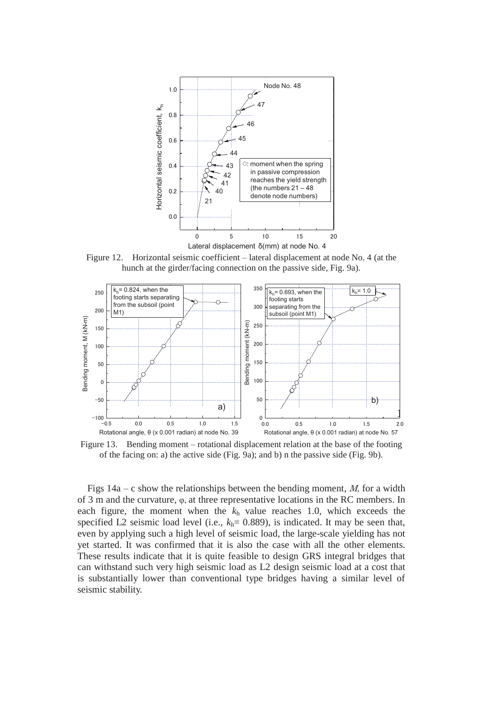

Figure 12. Horizontal seismic coefficient – lateral displacement at node No. 4 (at the hunch at the girder/facing connection on the passive side, Fig. 9a).



Figure 13. Bending moment – rotational displacement relation at the base of the footing of the facing on: a) the active side (Fig. 9a); and b) n the passive side (Fig. 9b).

Figs  $14a - c$  show the relationships between the bending moment, *M*, for a width of 3 m and the curvature, φ, at three representative locations in the RC members. In each figure, the moment when the  $k<sub>h</sub>$  value reaches 1.0, which exceeds the specified L2 seismic load level (i.e.,  $k_h$ = 0.889), is indicated. It may be seen that, even by applying such a high level of seismic load, the large-scale yielding has not yet started. It was confirmed that it is also the case with all the other elements. These results indicate that it is quite feasible to design GRS integral bridges that can withstand such very high seismic load as L2 design seismic load at a cost that is substantially lower than conventional type bridges having a similar level of seismic stability.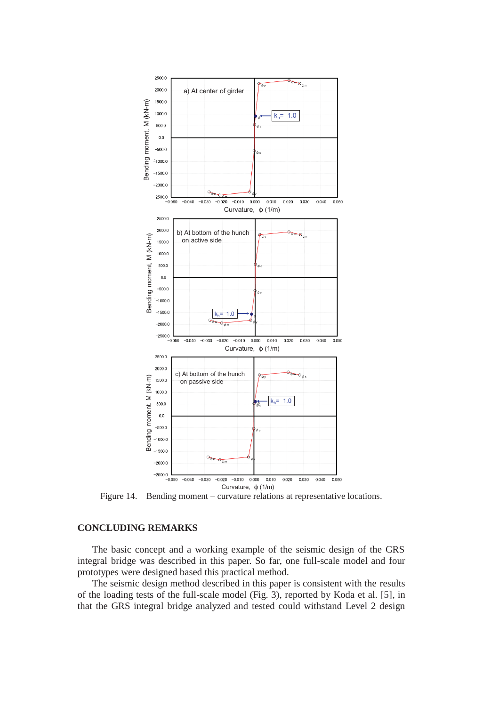

Figure 14. Bending moment – curvature relations at representative locations.

# **CONCLUDING REMARKS**

The basic concept and a working example of the seismic design of the GRS integral bridge was described in this paper. So far, one full-scale model and four prototypes were designed based this practical method.

The seismic design method described in this paper is consistent with the results of the loading tests of the full-scale model (Fig. 3), reported by Koda et al. [5], in that the GRS integral bridge analyzed and tested could withstand Level 2 design